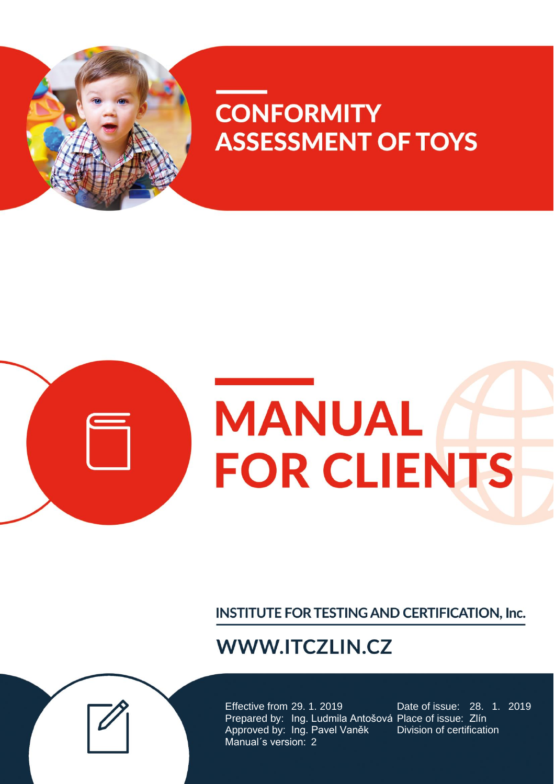

# **CONFORMITY ASSESSMENT OF TOYS**



INSTITUTE FOR TESTING AND CERTIFICATION, Inc.

# **WWW.ITCZLIN.CZ**

Effective from 29. 1. 2019 Date of issue: 28. 1. 2019 Prepared by: Ing. Ludmila Antošová Place of issue: Zlín Approved by: Ing. Pavel Vaněk Division of certification Manual´s version: 2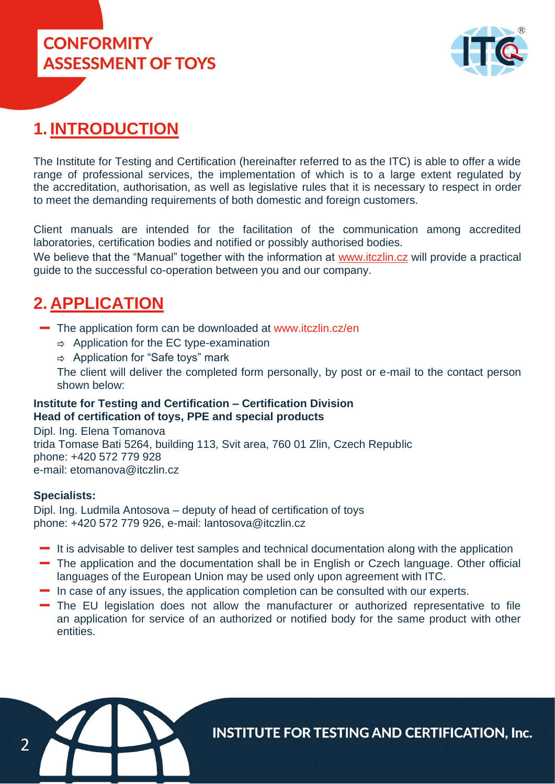



#### **1. INTRODUCTION**

The Institute for Testing and Certification (hereinafter referred to as the ITC) is able to offer a wide range of professional services, the implementation of which is to a large extent regulated by the accreditation, authorisation, as well as legislative rules that it is necessary to respect in order to meet the demanding requirements of both domestic and foreign customers.

Client manuals are intended for the facilitation of the communication among accredited laboratories, certification bodies and notified or possibly authorised bodies.

We believe that the "Manual" together with the information at www.itczlin.cz will provide a practical guide to the successful co-operation between you and our company.

#### **2. APPLICATION**

- The application form can be downloaded at [www.itczlin.cz/en](http://www.itczlin.cz/en/toys-children-products)
	- $\Rightarrow$  Application for the EC type-examination
	- $\Rightarrow$  Application for "Safe toys" mark

The client will deliver the completed form personally, by post or e-mail to the contact person shown below:

#### **Institute for Testing and Certification – Certification Division Head of certification of toys, PPE and special products**

Dipl. Ing. Elena Tomanova trida Tomase Bati 5264, building 113, Svit area, 760 01 Zlin, Czech Republic phone: +420 572 779 928 e-mail: etomanova@itczlin.cz

#### **Specialists:**

Dipl. Ing. Ludmila Antosova – deputy of head of certification of toys phone: +420 572 779 926, e-mail: lantosova@itczlin.cz

- $\blacksquare$  It is advisable to deliver test samples and technical documentation along with the application
- The application and the documentation shall be in English or Czech language. Other official languages of the European Union may be used only upon agreement with ITC.
- $\blacksquare$  In case of any issues, the application completion can be consulted with our experts.
- The EU legislation does not allow the manufacturer or authorized representative to file an application for service of an authorized or notified body for the same product with other entities.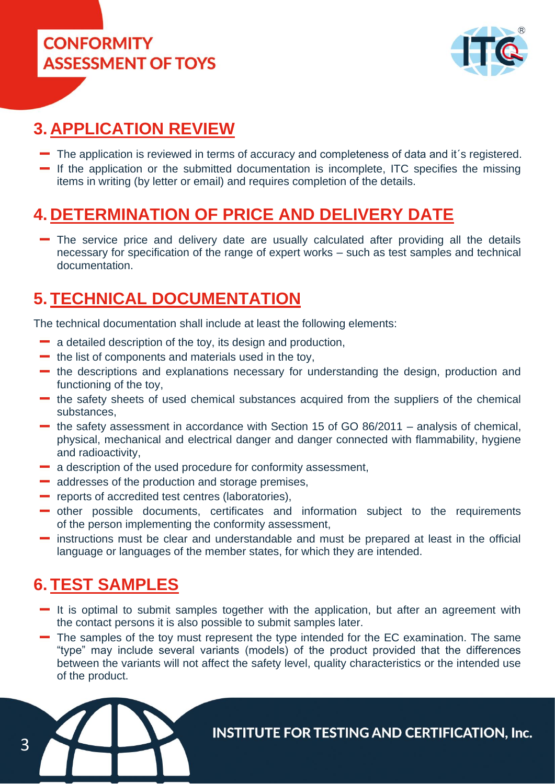**CONFORMITY ASSESSMENT OF TOYS** 



## **3. APPLICATION REVIEW**

- The application is reviewed in terms of accuracy and completeness of data and it´s registered.
- $\blacksquare$  If the application or the submitted documentation is incomplete. ITC specifies the missing items in writing (by letter or email) and requires completion of the details.

#### **4. DETERMINATION OF PRICE AND DELIVERY DATE**

The service price and delivery date are usually calculated after providing all the details necessary for specification of the range of expert works – such as test samples and technical documentation.

#### **5. TECHNICAL DOCUMENTATION**

The technical documentation shall include at least the following elements:

- $\blacksquare$  a detailed description of the toy, its design and production,
- $\blacksquare$  the list of components and materials used in the toy,
- the descriptions and explanations necessary for understanding the design, production and functioning of the toy,
- the safety sheets of used chemical substances acquired from the suppliers of the chemical substances,
- the safety assessment in accordance with Section 15 of GO 86/2011 analysis of chemical, physical, mechanical and electrical danger and danger connected with flammability, hygiene and radioactivity,
- a description of the used procedure for conformity assessment,
- addresses of the production and storage premises,
- **-** reports of accredited test centres (laboratories),
- other possible documents, certificates and information subject to the requirements of the person implementing the conformity assessment,
- instructions must be clear and understandable and must be prepared at least in the official language or languages of the member states, for which they are intended.

#### **6. TEST SAMPLES**

- $\blacksquare$  It is optimal to submit samples together with the application, but after an agreement with the contact persons it is also possible to submit samples later.
- The samples of the toy must represent the type intended for the EC examination. The same "type" may include several variants (models) of the product provided that the differences between the variants will not affect the safety level, quality characteristics or the intended use of the product.

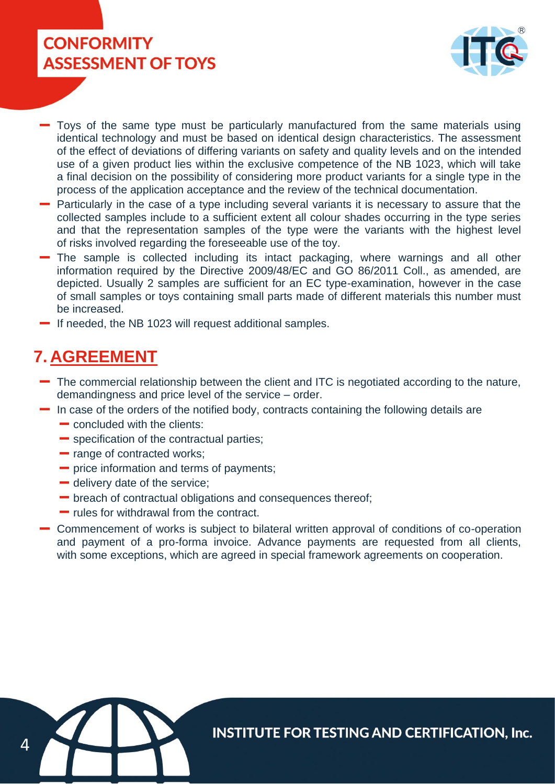## **CONFORMITY ASSESSMENT OF TOYS**



- Toys of the same type must be particularly manufactured from the same materials using identical technology and must be based on identical design characteristics. The assessment of the effect of deviations of differing variants on safety and quality levels and on the intended use of a given product lies within the exclusive competence of the NB 1023, which will take a final decision on the possibility of considering more product variants for a single type in the process of the application acceptance and the review of the technical documentation.
- Particularly in the case of a type including several variants it is necessary to assure that the collected samples include to a sufficient extent all colour shades occurring in the type series and that the representation samples of the type were the variants with the highest level of risks involved regarding the foreseeable use of the toy.
- The sample is collected including its intact packaging, where warnings and all other information required by the Directive 2009/48/EC and GO 86/2011 Coll., as amended, are depicted. Usually 2 samples are sufficient for an EC type-examination, however in the case of small samples or toys containing small parts made of different materials this number must be increased.
- If needed, the NB 1023 will request additional samples.

#### **7. AGREEMENT**

- The commercial relationship between the client and ITC is negotiated according to the nature, demandingness and price level of the service – order.
- $\blacksquare$  In case of the orders of the notified body, contracts containing the following details are
	- **concluded with the clients:**
	- **Specification of the contractual parties;**
	- range of contracted works;
	- **-** price information and terms of payments;
	- delivery date of the service;
	- breach of contractual obligations and consequences thereof;
	- rules for withdrawal from the contract.
- Commencement of works is subject to bilateral written approval of conditions of co-operation and payment of a pro-forma invoice. Advance payments are requested from all clients, with some exceptions, which are agreed in special framework agreements on cooperation.

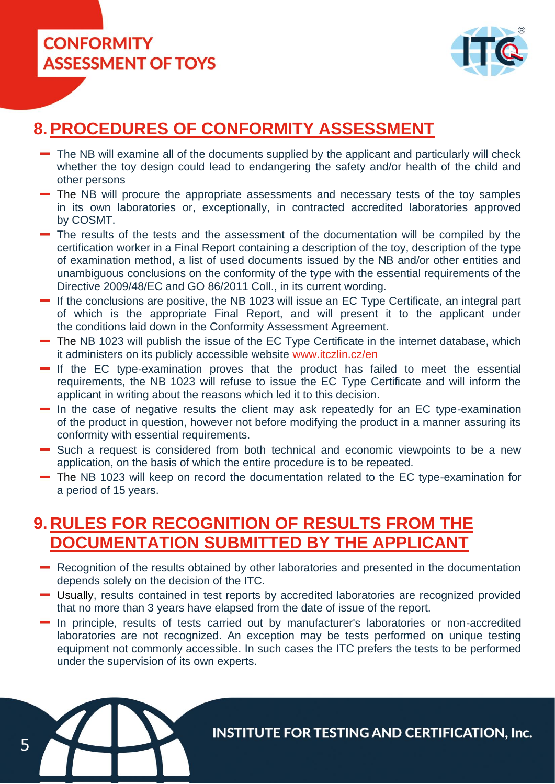

5



#### **8.PROCEDURES OF CONFORMITY ASSESSMENT**

- The NB will examine all of the documents supplied by the applicant and particularly will check whether the toy design could lead to endangering the safety and/or health of the child and other persons
- The NB will procure the appropriate assessments and necessary tests of the toy samples in its own laboratories or, exceptionally, in contracted accredited laboratories approved by COSMT.
- The results of the tests and the assessment of the documentation will be compiled by the certification worker in a Final Report containing a description of the toy, description of the type of examination method, a list of used documents issued by the NB and/or other entities and unambiguous conclusions on the conformity of the type with the essential requirements of the Directive 2009/48/EC and GO 86/2011 Coll., in its current wording.
- If the conclusions are positive, the NB 1023 will issue an EC Type Certificate, an integral part of which is the appropriate Final Report, and will present it to the applicant under the conditions laid down in the Conformity Assessment Agreement.
- The NB 1023 will publish the issue of the EC Type Certificate in the internet database, which it administers on its publicly accessible website [www.itczlin.cz/en](http://www.itczlin.cz/en)
- $\blacksquare$  If the EC type-examination proves that the product has failed to meet the essential requirements, the NB 1023 will refuse to issue the EC Type Certificate and will inform the applicant in writing about the reasons which led it to this decision.
- $\blacksquare$  In the case of negative results the client may ask repeatedly for an EC type-examination of the product in question, however not before modifying the product in a manner assuring its conformity with essential requirements.
- Such a request is considered from both technical and economic viewpoints to be a new application, on the basis of which the entire procedure is to be repeated.
- The NB 1023 will keep on record the documentation related to the EC type-examination for a period of 15 years.

#### **9. RULES FOR RECOGNITION OF RESULTS FROM THE DOCUMENTATION SUBMITTED BY THE APPLICANT**

- Recognition of the results obtained by other laboratories and presented in the documentation depends solely on the decision of the ITC.
- Usually, results contained in test reports by accredited laboratories are recognized provided that no more than 3 years have elapsed from the date of issue of the report.
- In principle, results of tests carried out by manufacturer's laboratories or non-accredited laboratories are not recognized. An exception may be tests performed on unique testing equipment not commonly accessible. In such cases the ITC prefers the tests to be performed under the supervision of its own experts.